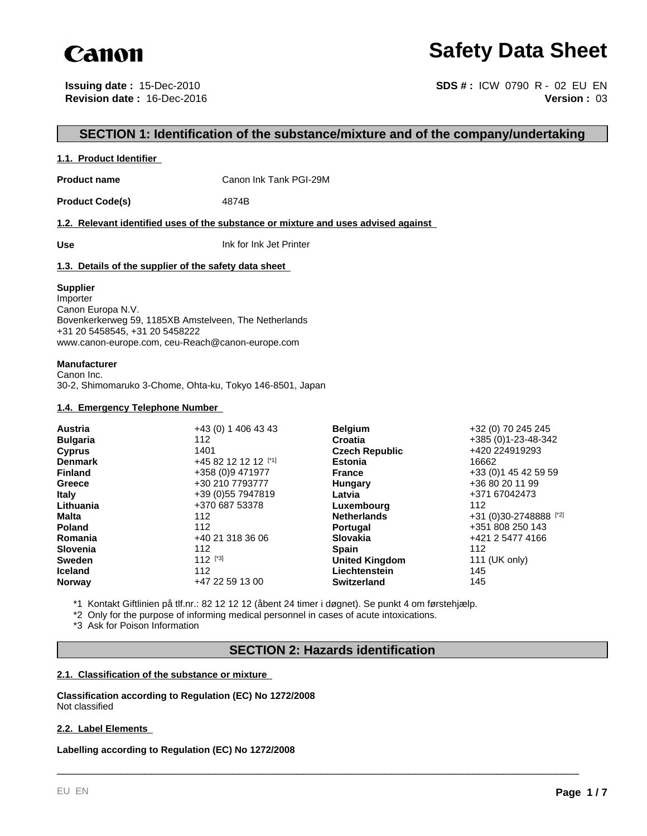

## **Safety Data Sheet**

**Issuing date :** 15-Dec-2010 **Revision date :** 16-Dec-2016

**Version :** 03 **SDS # :** ICW 0790 R - 02 EU EN

## **SECTION 1: Identification of the substance/mixture and of the company/undertaking**

## **1.1. Product Identifier**

**Product name** Canon Ink Tank PGI-29M

Product Code(s) 4874B

**1.2. Relevant identified uses of the substance or mixture and uses advised against** 

**Use** Ink for Ink Jet Printer

## **1.3. Details of the supplier of the safety data sheet**

### **Supplier**

Importer Canon Europa N.V. Bovenkerkerweg 59, 1185XB Amstelveen, The Netherlands +31 20 5458545, +31 20 5458222 www.canon-europe.com, ceu-Reach@canon-europe.com

### **Manufacturer**

Canon Inc. 30-2, Shimomaruko 3-Chome, Ohta-ku, Tokyo 146-8501, Japan

## **1.4. Emergency Telephone Number**

| <b>Austria</b>  | +43 (0) 1 406 43 43 | <b>Belgium</b>        | +32 (0) 70 245 245     |
|-----------------|---------------------|-----------------------|------------------------|
| <b>Bulgaria</b> | 112                 | Croatia               | +385 (0)1-23-48-342    |
| <b>Cyprus</b>   | 1401                | <b>Czech Republic</b> | +420 224919293         |
| <b>Denmark</b>  | +45 82 12 12 12 [1] | <b>Estonia</b>        | 16662                  |
| <b>Finland</b>  | +358 (0)9 471977    | <b>France</b>         | +33 (0) 1 45 42 59 59  |
| Greece          | +30 210 7793777     | Hungary               | +36 80 20 11 99        |
| <b>Italy</b>    | +39 (0) 55 7947819  | Latvia                | +371 67042473          |
| Lithuania       | +370 687 53378      | Luxembourg            | 112                    |
| Malta           | 112                 | <b>Netherlands</b>    | +31 (0)30-2748888 [*2] |
| <b>Poland</b>   | 112                 | <b>Portugal</b>       | +351 808 250 143       |
| Romania         | +40 21 318 36 06    | <b>Slovakia</b>       | +421 2 5477 4166       |
| <b>Slovenia</b> | 112                 | <b>Spain</b>          | 112                    |
| <b>Sweden</b>   | $112$ [*3]          | <b>United Kingdom</b> | 111 (UK only)          |
| <b>Iceland</b>  | 112                 | Liechtenstein         | 145                    |
| <b>Norway</b>   | +47 22 59 13 00     | <b>Switzerland</b>    | 145                    |

\*1 Kontakt Giftlinien på tlf.nr.: 82 12 12 12 (åbent 24 timer i døgnet). Se punkt 4 om førstehjælp.

\*2 Only for the purpose of informing medical personnel in cases of acute intoxications.

\*3 Ask for Poison Information

## **SECTION 2: Hazards identification**

\_\_\_\_\_\_\_\_\_\_\_\_\_\_\_\_\_\_\_\_\_\_\_\_\_\_\_\_\_\_\_\_\_\_\_\_\_\_\_\_\_\_\_\_\_\_\_\_\_\_\_\_\_\_\_\_\_\_\_\_\_\_\_\_\_\_\_\_\_\_\_\_\_\_\_\_\_\_\_\_\_\_\_\_\_\_\_\_\_

## **2.1. Classification of the substance or mixture**

**Classification according to Regulation (EC) No 1272/2008** Not classified

## **2.2. Label Elements**

**Labelling according to Regulation (EC) No 1272/2008**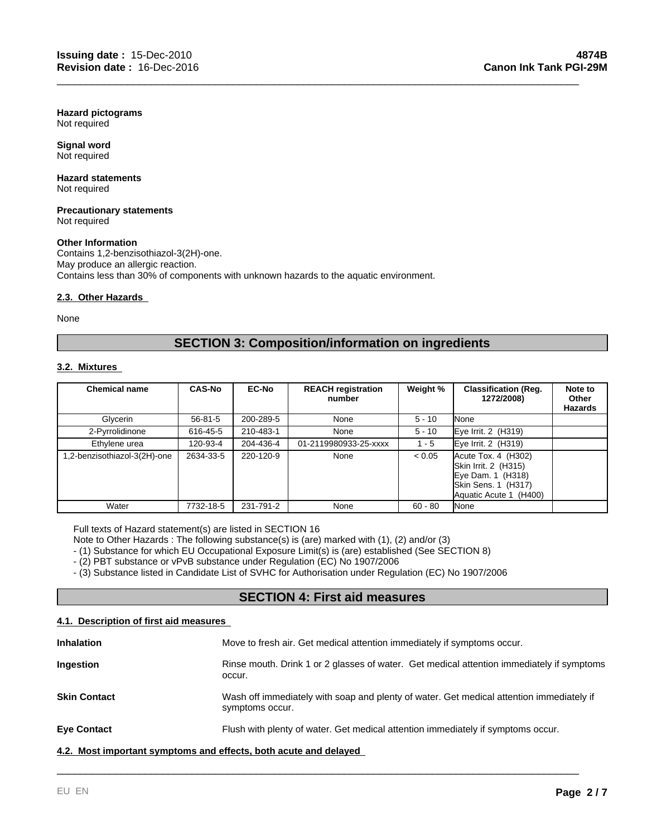**Hazard pictograms** Not required

**Signal word** Not required

#### **Hazard statements** Not required

#### **Precautionary statements** Not required

## **Other Information**

Contains 1,2-benzisothiazol-3(2H)-one. May produce an allergic reaction. Contains less than 30% of components with unknown hazards to the aquatic environment.

## **2.3. Other Hazards**

None

## **SECTION 3: Composition/information on ingredients**

\_\_\_\_\_\_\_\_\_\_\_\_\_\_\_\_\_\_\_\_\_\_\_\_\_\_\_\_\_\_\_\_\_\_\_\_\_\_\_\_\_\_\_\_\_\_\_\_\_\_\_\_\_\_\_\_\_\_\_\_\_\_\_\_\_\_\_\_\_\_\_\_\_\_\_\_\_\_\_\_\_\_\_\_\_\_\_\_\_

## **3.2. Mixtures**

| <b>Chemical name</b>        | <b>CAS-No</b> | <b>EC-No</b> | <b>REACH registration</b><br>number | Weight %  | <b>Classification (Reg.</b><br>1272/2008)                                                                              | Note to<br>Other<br>Hazards |
|-----------------------------|---------------|--------------|-------------------------------------|-----------|------------------------------------------------------------------------------------------------------------------------|-----------------------------|
| Glycerin                    | $56 - 81 - 5$ | 200-289-5    | None                                | $5 - 10$  | None                                                                                                                   |                             |
| 2-Pyrrolidinone             | 616-45-5      | 210-483-1    | None                                | $5 - 10$  | Eye Irrit. 2 (H319)                                                                                                    |                             |
| Ethylene urea               | 120-93-4      | 204-436-4    | 01-2119980933-25-xxxx               | - 5       | Eye Irrit. 2 (H319)                                                                                                    |                             |
| .2-benzisothiazol-3(2H)-one | 2634-33-5     | 220-120-9    | None                                | < 0.05    | $Accute$ Tox. 4 $(H302)$<br>Skin Irrit. 2 (H315)<br>Eye Dam. 1 (H318)<br>Skin Sens. 1 (H317)<br>Aquatic Acute 1 (H400) |                             |
| Water                       | 7732-18-5     | 231-791-2    | None                                | $60 - 80$ | None                                                                                                                   |                             |

Full texts of Hazard statement(s) are listed in SECTION 16

Note to Other Hazards : The following substance(s) is (are) marked with (1), (2) and/or (3)

- (1) Substance for which EU Occupational Exposure Limit(s) is (are) established (See SECTION 8)

- (2) PBT substance or vPvB substance under Regulation (EC) No 1907/2006

- (3) Substance listed in Candidate List of SVHC for Authorisation under Regulation (EC) No 1907/2006

## **SECTION 4: First aid measures**

## **4.1. Description of first aid measures**

| <b>Inhalation</b>                                                | Move to fresh air. Get medical attention immediately if symptoms occur.                                     |
|------------------------------------------------------------------|-------------------------------------------------------------------------------------------------------------|
| Ingestion                                                        | Rinse mouth. Drink 1 or 2 glasses of water. Get medical attention immediately if symptoms<br>occur.         |
| <b>Skin Contact</b>                                              | Wash off immediately with soap and plenty of water. Get medical attention immediately if<br>symptoms occur. |
| <b>Eye Contact</b>                                               | Flush with plenty of water. Get medical attention immediately if symptoms occur.                            |
| 4.2. Most important symptoms and effects, both acute and delayed |                                                                                                             |

\_\_\_\_\_\_\_\_\_\_\_\_\_\_\_\_\_\_\_\_\_\_\_\_\_\_\_\_\_\_\_\_\_\_\_\_\_\_\_\_\_\_\_\_\_\_\_\_\_\_\_\_\_\_\_\_\_\_\_\_\_\_\_\_\_\_\_\_\_\_\_\_\_\_\_\_\_\_\_\_\_\_\_\_\_\_\_\_\_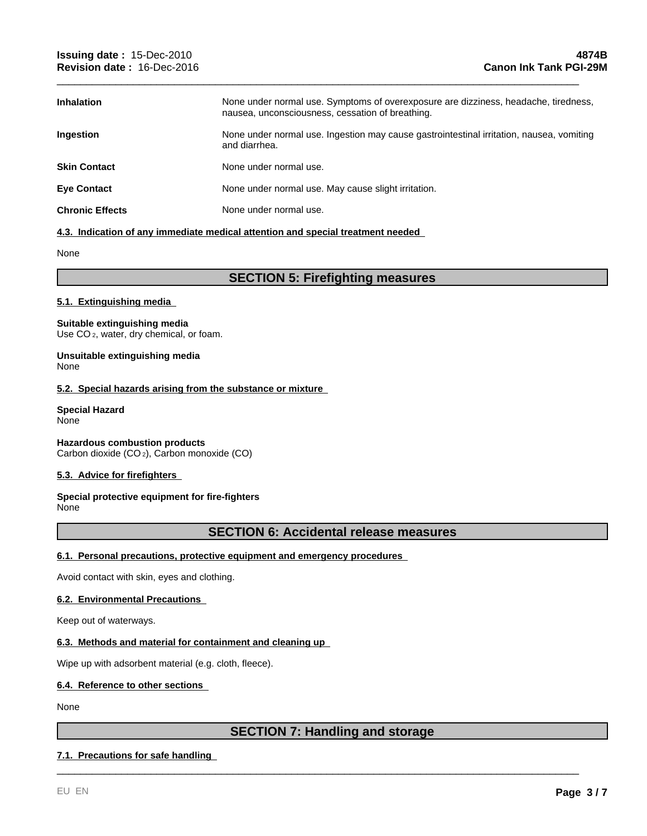| <b>Inhalation</b>      | None under normal use. Symptoms of overexposure are dizziness, headache, tiredness,<br>nausea, unconsciousness, cessation of breathing. |
|------------------------|-----------------------------------------------------------------------------------------------------------------------------------------|
| <b>Ingestion</b>       | None under normal use. Ingestion may cause gastrointestinal irritation, nausea, vomiting<br>and diarrhea.                               |
| <b>Skin Contact</b>    | None under normal use.                                                                                                                  |
| <b>Eye Contact</b>     | None under normal use. May cause slight irritation.                                                                                     |
| <b>Chronic Effects</b> | None under normal use.                                                                                                                  |

\_\_\_\_\_\_\_\_\_\_\_\_\_\_\_\_\_\_\_\_\_\_\_\_\_\_\_\_\_\_\_\_\_\_\_\_\_\_\_\_\_\_\_\_\_\_\_\_\_\_\_\_\_\_\_\_\_\_\_\_\_\_\_\_\_\_\_\_\_\_\_\_\_\_\_\_\_\_\_\_\_\_\_\_\_\_\_\_\_

## **4.3. Indication of any immediate medical attention and special treatment needed**

None

## **SECTION 5: Firefighting measures**

## **5.1. Extinguishing media**

## **Suitable extinguishing media**

Use CO<sub>2</sub>, water, dry chemical, or foam.

#### **Unsuitable extinguishing media** None

## **5.2. Special hazards arising from the substance or mixture**

#### **Special Hazard** None

**Hazardous combustion products** Carbon dioxide (CO 2), Carbon monoxide (CO)

## **5.3. Advice for firefighters**

#### **Special protective equipment for fire-fighters** None

## **SECTION 6: Accidental release measures**

## **6.1. Personal precautions, protective equipment and emergency procedures**

Avoid contact with skin, eyes and clothing.

## **6.2. Environmental Precautions**

Keep out of waterways.

## **6.3. Methods and material for containment and cleaning up**

Wipe up with adsorbent material (e.g. cloth, fleece).

## **6.4. Reference to other sections**

None

## **SECTION 7: Handling and storage**

\_\_\_\_\_\_\_\_\_\_\_\_\_\_\_\_\_\_\_\_\_\_\_\_\_\_\_\_\_\_\_\_\_\_\_\_\_\_\_\_\_\_\_\_\_\_\_\_\_\_\_\_\_\_\_\_\_\_\_\_\_\_\_\_\_\_\_\_\_\_\_\_\_\_\_\_\_\_\_\_\_\_\_\_\_\_\_\_\_

## **7.1. Precautions for safe handling**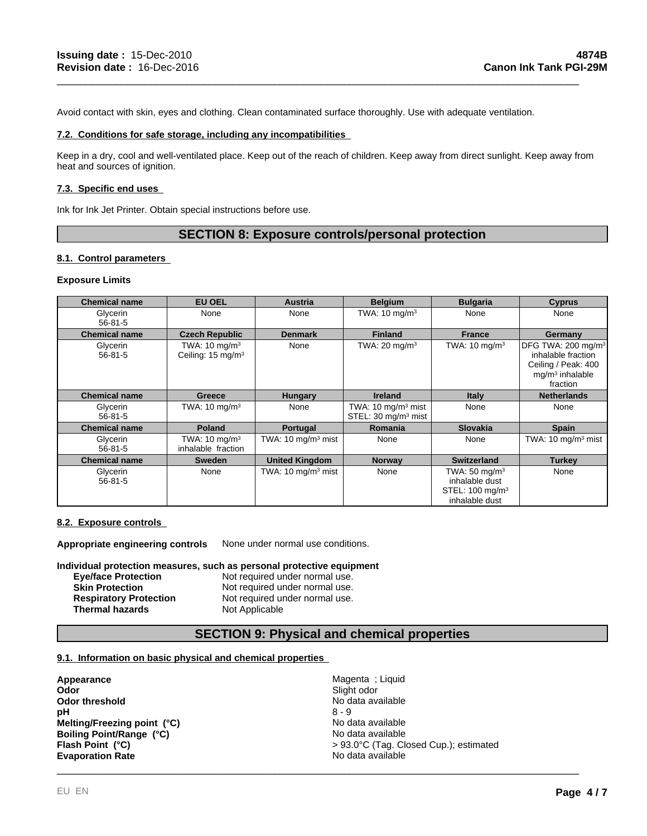Avoid contact with skin, eyes and clothing. Clean contaminated surface thoroughly. Use with adequate ventilation.

## **7.2. Conditions for safe storage, including any incompatibilities**

Keep in a dry, cool and well-ventilated place. Keep out of the reach of children. Keep away from direct sunlight. Keep away from heat and sources of ignition.

\_\_\_\_\_\_\_\_\_\_\_\_\_\_\_\_\_\_\_\_\_\_\_\_\_\_\_\_\_\_\_\_\_\_\_\_\_\_\_\_\_\_\_\_\_\_\_\_\_\_\_\_\_\_\_\_\_\_\_\_\_\_\_\_\_\_\_\_\_\_\_\_\_\_\_\_\_\_\_\_\_\_\_\_\_\_\_\_\_

### **7.3. Specific end uses**

Ink for Ink Jet Printer. Obtain special instructions before use.

## **SECTION 8: Exposure controls/personal protection**

### **8.1. Control parameters**

#### **Exposure Limits**

| <b>Chemical name</b>      | <b>EU OEL</b>                                              | Austria                        | <b>Belgium</b>                                                   | <b>Bulgaria</b>                                                                             | <b>Cyprus</b>                                                                                                |
|---------------------------|------------------------------------------------------------|--------------------------------|------------------------------------------------------------------|---------------------------------------------------------------------------------------------|--------------------------------------------------------------------------------------------------------------|
| Glycerin<br>$56 - 81 - 5$ | None                                                       | None                           | TWA: $10 \text{ mg/m}^3$                                         | None                                                                                        | None                                                                                                         |
| <b>Chemical name</b>      | <b>Czech Republic</b>                                      | <b>Denmark</b>                 | <b>Finland</b>                                                   | <b>France</b>                                                                               | Germany                                                                                                      |
| Glycerin<br>$56 - 81 - 5$ | TWA: 10 mg/m <sup>3</sup><br>Ceiling: 15 mg/m <sup>3</sup> | None                           | TWA: $20 \text{ mg/m}^3$                                         | TWA: $10 \text{ mg/m}^3$                                                                    | DFG TWA: 200 mg/m <sup>3</sup><br>inhalable fraction<br>Ceiling / Peak: 400<br>$mq/m3$ inhalable<br>fraction |
| <b>Chemical name</b>      | Greece                                                     | <b>Hungary</b>                 | <b>Ireland</b>                                                   | <b>Italy</b>                                                                                | <b>Netherlands</b>                                                                                           |
| Glycerin<br>$56 - 81 - 5$ | TWA: $10 \text{ mg/m}^3$                                   | None                           | TWA: $10 \text{ mg/m}^3$ mist<br>STEL: 30 mg/m <sup>3</sup> mist | None                                                                                        | None                                                                                                         |
| <b>Chemical name</b>      | <b>Poland</b>                                              | Portugal                       | <b>Romania</b>                                                   | <b>Slovakia</b>                                                                             | <b>Spain</b>                                                                                                 |
| Glycerin<br>$56 - 81 - 5$ | TWA: $10 \text{ mg/m}^3$<br>inhalable fraction             | TWA: $10 \text{ mg/m}^3$ mist  | None                                                             | None                                                                                        | TWA: $10 \text{ mg/m}^3$ mist                                                                                |
| <b>Chemical name</b>      | <b>Sweden</b>                                              | <b>United Kingdom</b>          | <b>Norway</b>                                                    | <b>Switzerland</b>                                                                          | <b>Turkey</b>                                                                                                |
| Glycerin<br>$56 - 81 - 5$ | None                                                       | TWA: 10 mg/m <sup>3</sup> mist | None                                                             | TWA: $50 \text{ mg/m}^3$<br>inhalable dust<br>STEL: 100 mg/m <sup>3</sup><br>inhalable dust | None                                                                                                         |

## **8.2. Exposure controls**

**Appropriate engineering controls** None under normal use conditions.

**Individual protection measures, such as personal protective equipment**

| <b>Eve/face Protection</b>    | Not required under normal use. |
|-------------------------------|--------------------------------|
| <b>Skin Protection</b>        | Not required under normal use. |
| <b>Respiratory Protection</b> | Not required under normal use. |
| <b>Thermal hazards</b>        | Not Applicable                 |

## **SECTION 9: Physical and chemical properties**

#### **9.1. Information on basic physical and chemical properties**

**Appearance Appearance Magenta ; Liquid Odor Magenta ; Liquid Odor Odor threshold**<br> **Odor threshold**<br> **PH**<br>  $8 - 9$ **pH** 8 - 9 **Evaporation Rate** No data available **Flash Point (°C) Melting/Freezing point (°C) Boiling Point/Range (°C)**

**Odor** Slight odor \_\_\_\_\_\_\_\_\_\_\_\_\_\_\_\_\_\_\_\_\_\_\_\_\_\_\_\_\_\_\_\_\_\_\_\_\_\_\_\_\_\_\_\_\_\_\_\_\_\_\_\_\_\_\_\_\_\_\_\_\_\_\_\_\_\_\_\_\_\_\_\_\_\_\_\_\_\_\_\_\_\_\_\_\_\_\_\_\_ No data available > 93.0°C (Tag. Closed Cup.); estimated No data available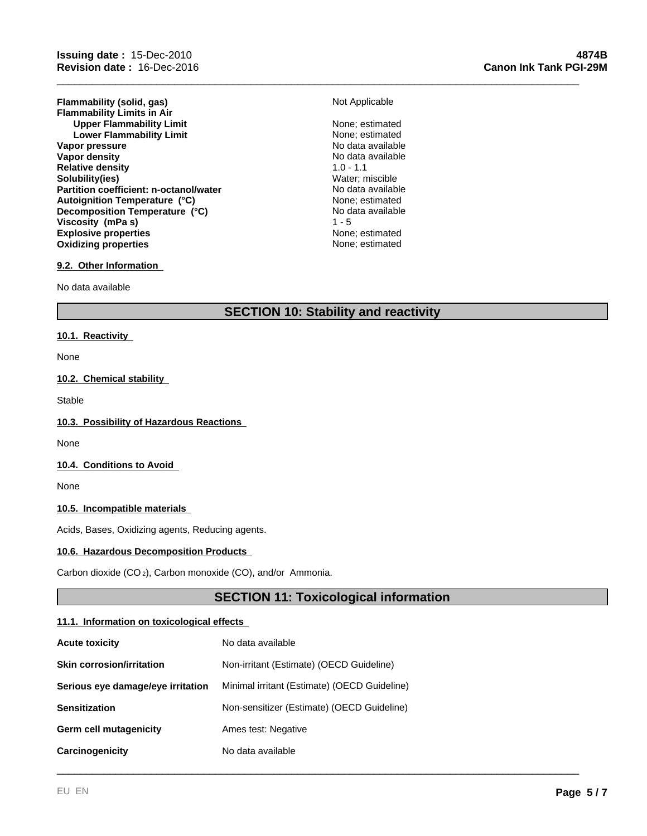**Flammability (solid, gas)** Not Applicable **Flammability Limits in Air Upper Flammability Limit** None; estimated<br>
Lower Flammability Limit<br>
None: estimated **Lower Flammability Limit** None; estimated<br>
None; estimated<br>
No data available **Vapor pressure**<br> **Vapor density**<br> **Vapor density**<br> **Vapor density Vapor density** No data<br> **Relative density** No data available 1.0 - 1.1 **Relative density Solubility(ies)** Water; miscible **Partition coefficient: n-octanol/water Explosive properties**<br> **Explosive properties**<br> **Oxidizing properties**<br> **None:** estimated **Oxidizing properties Autoignition Temperature (°C)** None; estimated **Decomposition Temperature (°C) Viscosity (mPa s)** 1 - 5

# \_\_\_\_\_\_\_\_\_\_\_\_\_\_\_\_\_\_\_\_\_\_\_\_\_\_\_\_\_\_\_\_\_\_\_\_\_\_\_\_\_\_\_\_\_\_\_\_\_\_\_\_\_\_\_\_\_\_\_\_\_\_\_\_\_\_\_\_\_\_\_\_\_\_\_\_\_\_\_\_\_\_\_\_\_\_\_\_\_

No data available

## **9.2. Other Information**

No data available

## **SECTION 10: Stability and reactivity**

#### **10.1. Reactivity**

None

## **10.2. Chemical stability**

Stable

### **10.3. Possibility of Hazardous Reactions**

None

## **10.4. Conditions to Avoid**

None

#### **10.5. Incompatible materials**

Acids, Bases, Oxidizing agents, Reducing agents.

#### **10.6. Hazardous Decomposition Products**

Carbon dioxide (CO 2), Carbon monoxide (CO), and/or Ammonia.

## **SECTION 11: Toxicological information**

\_\_\_\_\_\_\_\_\_\_\_\_\_\_\_\_\_\_\_\_\_\_\_\_\_\_\_\_\_\_\_\_\_\_\_\_\_\_\_\_\_\_\_\_\_\_\_\_\_\_\_\_\_\_\_\_\_\_\_\_\_\_\_\_\_\_\_\_\_\_\_\_\_\_\_\_\_\_\_\_\_\_\_\_\_\_\_\_\_

### **11.1. Information on toxicological effects**

| <b>Acute toxicity</b>             | No data available                            |
|-----------------------------------|----------------------------------------------|
| <b>Skin corrosion/irritation</b>  | Non-irritant (Estimate) (OECD Guideline)     |
| Serious eye damage/eye irritation | Minimal irritant (Estimate) (OECD Guideline) |
| <b>Sensitization</b>              | Non-sensitizer (Estimate) (OECD Guideline)   |
| Germ cell mutagenicity            | Ames test: Negative                          |
| Carcinogenicity                   | No data available                            |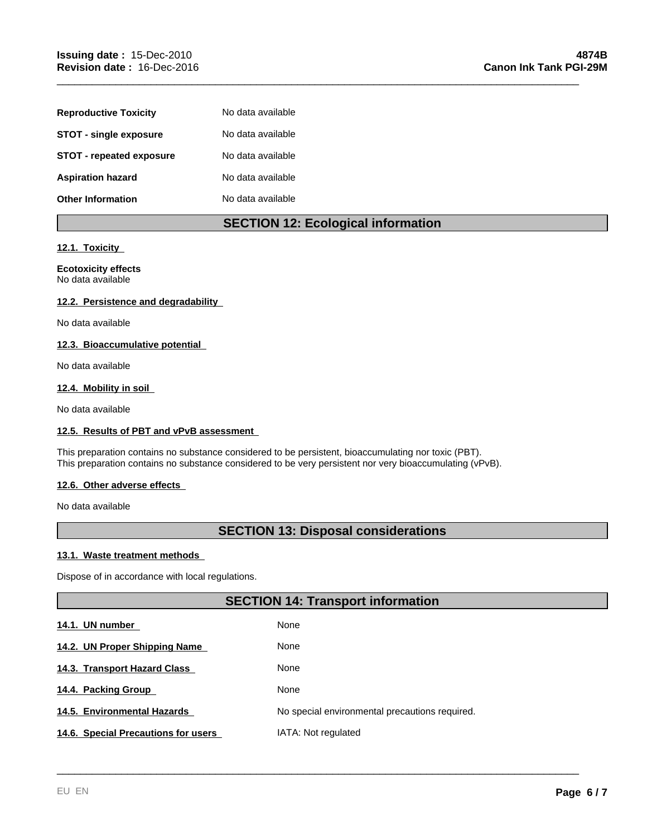| <b>Reproductive Toxicity</b>  | No data available |
|-------------------------------|-------------------|
| <b>STOT - single exposure</b> | No data available |
| STOT - repeated exposure      | No data available |
| <b>Aspiration hazard</b>      | No data available |
| <b>Other Information</b>      | No data available |

## **SECTION 12: Ecological information**

\_\_\_\_\_\_\_\_\_\_\_\_\_\_\_\_\_\_\_\_\_\_\_\_\_\_\_\_\_\_\_\_\_\_\_\_\_\_\_\_\_\_\_\_\_\_\_\_\_\_\_\_\_\_\_\_\_\_\_\_\_\_\_\_\_\_\_\_\_\_\_\_\_\_\_\_\_\_\_\_\_\_\_\_\_\_\_\_\_

## **12.1. Toxicity**

## **Ecotoxicity effects** No data available

## **12.2. Persistence and degradability**

No data available

## **12.3. Bioaccumulative potential**

No data available

## **12.4. Mobility in soil**

No data available

## **12.5. Results of PBT and vPvB assessment**

This preparation contains no substance considered to be persistent, bioaccumulating nor toxic (PBT). This preparation contains no substance considered to be very persistent nor very bioaccumulating (vPvB).

## **12.6. Other adverse effects**

No data available

## **SECTION 13: Disposal considerations**

## **13.1. Waste treatment methods**

Dispose of in accordance with local regulations.

## **SECTION 14: Transport information**

\_\_\_\_\_\_\_\_\_\_\_\_\_\_\_\_\_\_\_\_\_\_\_\_\_\_\_\_\_\_\_\_\_\_\_\_\_\_\_\_\_\_\_\_\_\_\_\_\_\_\_\_\_\_\_\_\_\_\_\_\_\_\_\_\_\_\_\_\_\_\_\_\_\_\_\_\_\_\_\_\_\_\_\_\_\_\_\_\_

| 14.1. UN number                     | None                                           |
|-------------------------------------|------------------------------------------------|
| 14.2. UN Proper Shipping Name       | None                                           |
| 14.3. Transport Hazard Class        | None                                           |
| 14.4. Packing Group                 | None                                           |
| 14.5. Environmental Hazards         | No special environmental precautions required. |
| 14.6. Special Precautions for users | IATA: Not regulated                            |